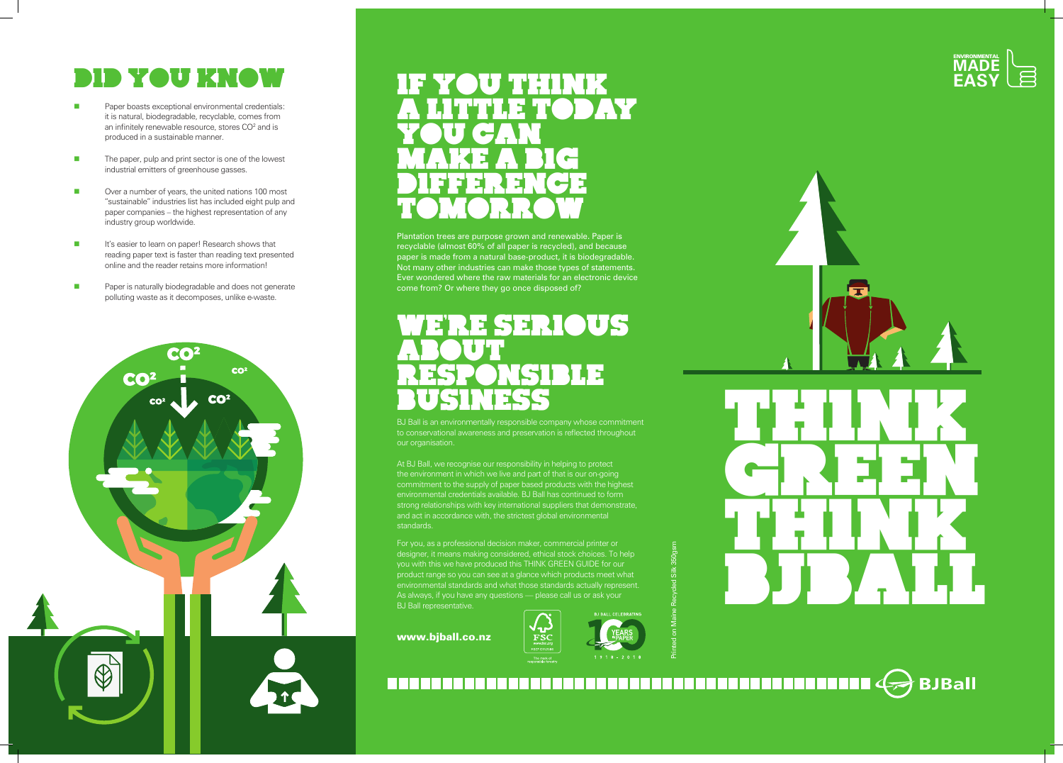





## **DID YOU KNOW THE YOU**

- **n** Paper boasts exceptional environmental credentials: it is natural, biodegradable, recyclable, comes from an infinitely renewable resource, stores  $CO<sup>2</sup>$  and is produced in a sustainable manner.
- $\blacksquare$  The paper, pulp and print sector is one of the lowest industrial emitters of greenhouse gasses.
- **n** Over a number of years, the united nations 100 most "sustainable" industries list has included eight pulp and paper companies – the highest representation of any industry group worldwide.
- **n** It's easier to learn on paper! Research shows that reading paper text is faster than reading text presented online and the reader retains more information!
- **n** Paper is naturally biodegradable and does not generate polluting waste as it decomposes, unlike e-waste.



## E SERIOUS about responsible business

## If you Think **an Av** you can make a big difference tomorrow

Plantation trees are purpose grown and renewable. Paper is recyclable (almost 60% of all paper is recycled), and because paper is made from a natural base-product, it is biodegradable. Not many other industries can make those types of statements. Ever wondered where the raw materials for an electronic device come from? Or where they go once disposed of?

BJ Ball is an environmentally responsible company whose commitment to conservational awareness and preservation is reflected throughout our organisation.

At BJ Ball, we recognise our responsibility in helping to protect the environment in which we live and part of that is our on-going commitment to the supply of paper based products with the highest environmental credentials available. BJ Ball has continued to form strong relationships with key international suppliers that demonstrate, and act in accordance with, the strictest global environmental standards.

For you, as a professional decision maker, commercial printer or designer, it means making considered, ethical stock choices. To help you with this we have produced this THINK GREEN GUIDE for our product range so you can see at a glance which products meet what environmental standards and what those standards actually represent. As always, if you have any questions — please call us or ask your BJ Ball representative.

www.bjball.co.nz

. . . . . . . .



Printed on Maine Recycled Silk 350gsm